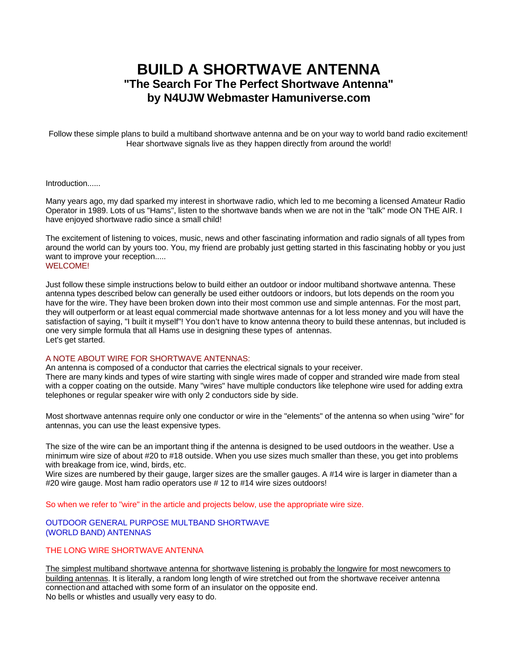# **BUILD A SHORTWAVE ANTENNA "The Search For The Perfect Shortwave Antenna" by N4UJW Webmaster Hamuniverse.com**

Follow these simple plans to build a multiband shortwave antenna and be on your way to world band radio excitement! Hear shortwave signals live as they happen directly from around the world!

## Introduction......

Many years ago, my dad sparked my interest in shortwave radio, which led to me becoming a licensed Amateur Radio Operator in 1989. Lots of us "Hams", listen to the shortwave bands when we are not in the "talk" mode ON THE AIR. I have enjoyed shortwave radio since a small child!

The excitement of listening to voices, music, news and other fascinating information and radio signals of all types from around the world can by yours too. You, my friend are probably just getting started in this fascinating hobby or you just want to improve your reception..... WELCOME!

Just follow these simple instructions below to build either an outdoor or indoor multiband shortwave antenna. These antenna types described below can generally be used either outdoors or indoors, but lots depends on the room you have for the wire. They have been broken down into their most common use and simple antennas. For the most part, they will outperform or at least equal commercial made shortwave antennas for a lot less money and you will have the satisfaction of saying, "I built it myself"! You don't have to know antenna theory to build these antennas, but included is one very simple formula that all Hams use in designing these types of antennas. Let's get started.

#### A NOTE ABOUT WIRE FOR SHORTWAVE ANTENNAS:

An antenna is composed of a conductor that carries the electrical signals to your receiver. There are many kinds and types of wire starting with single wires made of copper and stranded wire made from steal with a copper coating on the outside. Many "wires" have multiple conductors like telephone wire used for adding extra telephones or regular speaker wire with only 2 conductors side by side.

Most shortwave antennas require only one conductor or wire in the "elements" of the antenna so when using "wire" for antennas, you can use the least expensive types.

The size of the wire can be an important thing if the antenna is designed to be used outdoors in the weather. Use a minimum wire size of about #20 to #18 outside. When you use sizes much smaller than these, you get into problems with breakage from ice, wind, birds, etc.

Wire sizes are numbered by their gauge, larger sizes are the smaller gauges. A #14 wire is larger in diameter than a #20 wire gauge. Most ham radio operators use #12 to #14 wire sizes outdoors!

So when we refer to "wire" in the article and projects below, use the appropriate wire size.

#### OUTDOOR GENERAL PURPOSE MULTBAND SHORTWAVE (WORLD BAND) ANTENNAS

# THE LONG WIRE SHORTWAVE ANTENNA

The simplest multiband shortwave antenna for shortwave listening is probably the longwire for most newcomers to building antennas. It is literally, a random long length of wire stretched out from the shortwave receiver antenna connectionand attached with some form of an insulator on the opposite end. No bells or whistles and usually very easy to do.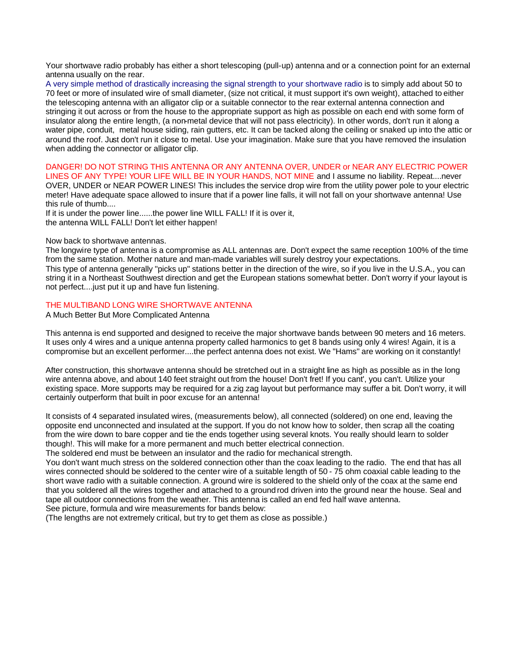Your shortwave radio probably has either a short telescoping (pull-up) antenna and or a connection point for an external antenna usually on the rear.

A very simple method of drastically increasing the signal strength to your shortwave radio is to simply add about 50 to 70 feet or more of insulated wire of small diameter, (size not critical, it must support it's own weight), attached to either the telescoping antenna with an alligator clip or a suitable connector to the rear external antenna connection and stringing it out across or from the house to the appropriate support as high as possible on each end with some form of insulator along the entire length, (a non-metal device that will not pass electricity). In other words, don't run it along a water pipe, conduit, metal house siding, rain gutters, etc. It can be tacked along the ceiling or snaked up into the attic or around the roof. Just don't run it close to metal. Use your imagination. Make sure that you have removed the insulation when adding the connector or alligator clip.

#### DANGER! DO NOT STRING THIS ANTENNA OR ANY ANTENNA OVER, UNDER or NEAR ANY ELECTRIC POWER LINES OF ANY TYPE! YOUR LIFE WILL BE IN YOUR HANDS, NOT MINE and I assume no liability. Repeat....never

OVER, UNDER or NEAR POWER LINES! This includes the service drop wire from the utility power pole to your electric meter! Have adequate space allowed to insure that if a power line falls, it will not fall on your shortwave antenna! Use this rule of thumb....

If it is under the power line......the power line WILL FALL! If it is over it, the antenna WILL FALL! Don't let either happen!

## Now back to shortwave antennas.

The longwire type of antenna is a compromise as ALL antennas are. Don't expect the same reception 100% of the time from the same station. Mother nature and man-made variables will surely destroy your expectations.

This type of antenna generally "picks up" stations better in the direction of the wire, so if you live in the U.S.A., you can string it in a Northeast Southwest direction and get the European stations somewhat better. Don't worry if your layout is not perfect....just put it up and have fun listening.

## THE MULTIBAND LONG WIRE SHORTWAVE ANTENNA

A Much Better But More Complicated Antenna

This antenna is end supported and designed to receive the major shortwave bands between 90 meters and 16 meters. It uses only 4 wires and a unique antenna property called harmonics to get 8 bands using only 4 wires! Again, it is a compromise but an excellent performer....the perfect antenna does not exist. We "Hams" are working on it constantly!

After construction, this shortwave antenna should be stretched out in a straight line as high as possible as in the long wire antenna above, and about 140 feet straight out from the house! Don't fret! If you cant', you can't. Utilize your existing space. More supports may be required for a zig zag layout but performance may suffer a bit. Don't worry, it will certainly outperform that built in poor excuse for an antenna!

It consists of 4 separated insulated wires, (measurements below), all connected (soldered) on one end, leaving the opposite end unconnected and insulated at the support. If you do not know how to solder, then scrap all the coating from the wire down to bare copper and tie the ends together using several knots. You really should learn to solder though!. This will make for a more permanent and much better electrical connection.

The soldered end must be between an insulator and the radio for mechanical strength.

You don't want much stress on the soldered connection other than the coax leading to the radio. The end that has all wires connected should be soldered to the center wire of a suitable length of 50 - 75 ohm coaxial cable leading to the short wave radio with a suitable connection. A ground wire is soldered to the shield only of the coax at the same end that you soldered all the wires together and attached to a ground rod driven into the ground near the house. Seal and tape all outdoor connections from the weather. This antenna is called an end fed half wave antenna. See picture, formula and wire measurements for bands below:

(The lengths are not extremely critical, but try to get them as close as possible.)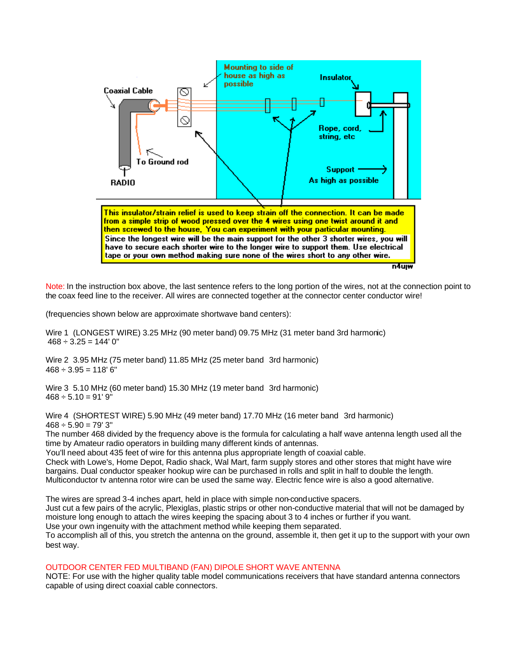

Note: In the instruction box above, the last sentence refers to the long portion of the wires, not at the connection point to the coax feed line to the receiver. All wires are connected together at the connector center conductor wire!

(frequencies shown below are approximate shortwave band centers):

Wire 1 (LONGEST WIRE) 3.25 MHz (90 meter band) 09.75 MHz (31 meter band 3rd harmonic)  $468 \div 3.25 = 144' 0''$ 

Wire 2 3.95 MHz (75 meter band) 11.85 MHz (25 meter band 3rd harmonic)  $468 \div 3.95 = 118' 6''$ 

Wire 3 5.10 MHz (60 meter band) 15.30 MHz (19 meter band 3rd harmonic)  $468 \div 5.10 = 91'$  9"

Wire 4 (SHORTEST WIRE) 5.90 MHz (49 meter band) 17.70 MHz (16 meter band 3rd harmonic)  $468 \div 5.90 = 79'3''$ 

The number 468 divided by the frequency above is the formula for calculating a half wave antenna length used all the time by Amateur radio operators in building many different kinds of antennas.

You'll need about 435 feet of wire for this antenna plus appropriate length of coaxial cable.

Check with Lowe's, Home Depot, Radio shack, Wal Mart, farm supply stores and other stores that might have wire bargains. Dual conductor speaker hookup wire can be purchased in rolls and split in half to double the length. Multiconductor tv antenna rotor wire can be used the same way. Electric fence wire is also a good alternative.

The wires are spread 3-4 inches apart, held in place with simple non-conductive spacers. Just cut a few pairs of the acrylic, Plexiglas, plastic strips or other non-conductive material that will not be damaged by moisture long enough to attach the wires keeping the spacing about 3 to 4 inches or further if you want. Use your own ingenuity with the attachment method while keeping them separated. To accomplish all of this, you stretch the antenna on the ground, assemble it, then get it up to the support with your own best way.

# OUTDOOR CENTER FED MULTIBAND (FAN) DIPOLE SHORT WAVE ANTENNA

NOTE: For use with the higher quality table model communications receivers that have standard antenna connectors capable of using direct coaxial cable connectors.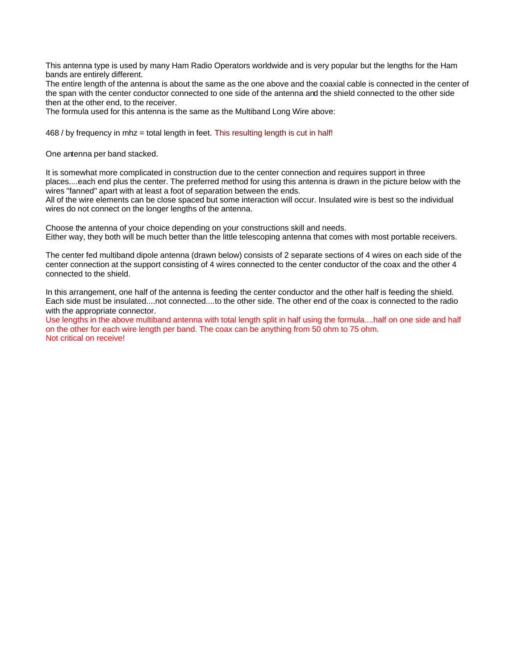This antenna type is used by many Ham Radio Operators worldwide and is very popular but the lengths for the Ham bands are entirely different.

The entire length of the antenna is about the same as the one above and the coaxial cable is connected in the center of the span with the center conductor connected to one side of the antenna and the shield connected to the other side then at the other end, to the receiver.

The formula used for this antenna is the same as the Multiband Long Wire above:

468 / by frequency in mhz = total length in feet. This resulting length is cut in half!

One antenna per band stacked.

It is somewhat more complicated in construction due to the center connection and requires support in three places....each end plus the center. The preferred method for using this antenna is drawn in the picture below with the wires "fanned" apart with at least a foot of separation between the ends.

All of the wire elements can be close spaced but some interaction will occur. Insulated wire is best so the individual wires do not connect on the longer lengths of the antenna.

Choose the antenna of your choice depending on your constructions skill and needs. Either way, they both will be much better than the little telescoping antenna that comes with most portable receivers.

The center fed multiband dipole antenna (drawn below) consists of 2 separate sections of 4 wires on each side of the center connection at the support consisting of 4 wires connected to the center conductor of the coax and the other 4 connected to the shield.

In this arrangement, one half of the antenna is feeding the center conductor and the other half is feeding the shield. Each side must be insulated....not connected....to the other side. The other end of the coax is connected to the radio with the appropriate connector.

Use lengths in the above multiband antenna with total length split in half using the formula....half on one side and half on the other for each wire length per band. The coax can be anything from 50 ohm to 75 ohm. Not critical on receive!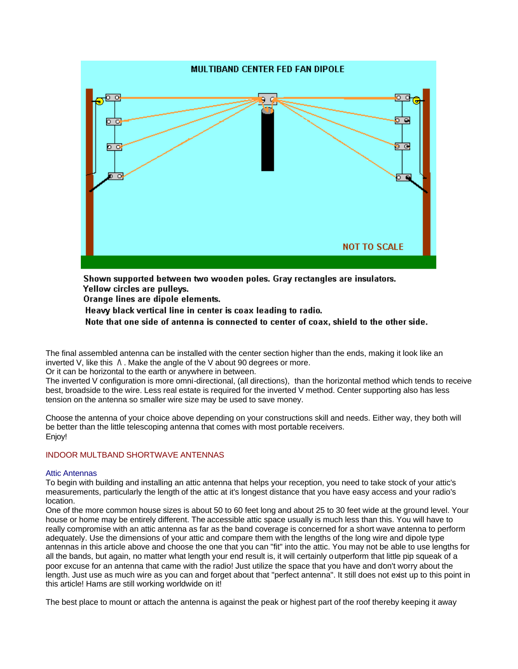

Shown supported between two wooden poles. Gray rectangles are insulators. Yellow circles are pulleys.

Orange lines are dipole elements.

Heavy black vertical line in center is coax leading to radio.

Note that one side of antenna is connected to center of coax, shield to the other side.

The final assembled antenna can be installed with the center section higher than the ends, making it look like an inverted V, like this  $\Lambda$ . Make the angle of the V about 90 degrees or more.

Or it can be horizontal to the earth or anywhere in between.

The inverted V configuration is more omni-directional, (all directions), than the horizontal method which tends to receive best, broadside to the wire. Less real estate is required for the inverted V method. Center supporting also has less tension on the antenna so smaller wire size may be used to save money.

Choose the antenna of your choice above depending on your constructions skill and needs. Either way, they both will be better than the little telescoping antenna that comes with most portable receivers. Enjoy!

# INDOOR MULTBAND SHORTWAVE ANTENNAS

#### Attic Antennas

To begin with building and installing an attic antenna that helps your reception, you need to take stock of your attic's measurements, particularly the length of the attic at it's longest distance that you have easy access and your radio's location.

One of the more common house sizes is about 50 to 60 feet long and about 25 to 30 feet wide at the ground level. Your house or home may be entirely different. The accessible attic space usually is much less than this. You will have to really compromise with an attic antenna as far as the band coverage is concerned for a short wave antenna to perform adequately. Use the dimensions of your attic and compare them with the lengths of the long wire and dipole type antennas in this article above and choose the one that you can "fit" into the attic. You may not be able to use lengths for all the bands, but again, no matter what length your end result is, it will certainly outperform that little pip squeak of a poor excuse for an antenna that came with the radio! Just utilize the space that you have and don't worry about the length. Just use as much wire as you can and forget about that "perfect antenna". It still does not exist up to this point in this article! Hams are still working worldwide on it!

The best place to mount or attach the antenna is against the peak or highest part of the roof thereby keeping it away